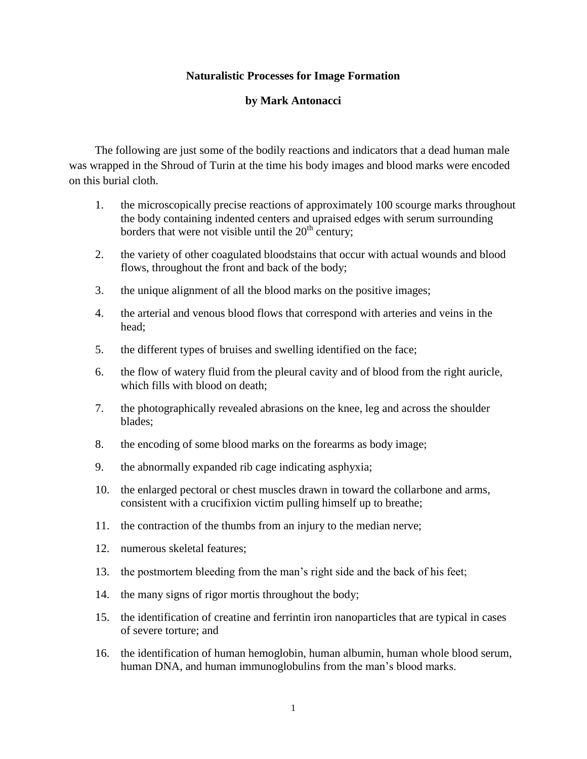## **Naturalistic Processes for Image Formation**

## **by Mark Antonacci**

The following are just some of the bodily reactions and indicators that a dead human male was wrapped in the Shroud of Turin at the time his body images and blood marks were encoded on this burial cloth.

- 1. the microscopically precise reactions of approximately 100 scourge marks throughout the body containing indented centers and upraised edges with serum surrounding borders that were not visible until the  $20<sup>th</sup>$  century;
- 2. the variety of other coagulated bloodstains that occur with actual wounds and blood flows, throughout the front and back of the body;
- 3. the unique alignment of all the blood marks on the positive images;
- 4. the arterial and venous blood flows that correspond with arteries and veins in the head;
- 5. the different types of bruises and swelling identified on the face;
- 6. the flow of watery fluid from the pleural cavity and of blood from the right auricle, which fills with blood on death;
- 7. the photographically revealed abrasions on the knee, leg and across the shoulder blades;
- 8. the encoding of some blood marks on the forearms as body image;
- 9. the abnormally expanded rib cage indicating asphyxia;
- 10. the enlarged pectoral or chest muscles drawn in toward the collarbone and arms, consistent with a crucifixion victim pulling himself up to breathe;
- 11. the contraction of the thumbs from an injury to the median nerve;
- 12. numerous skeletal features;
- 13. the postmortem bleeding from the man's right side and the back of his feet;
- 14. the many signs of rigor mortis throughout the body;
- 15. the identification of creatine and ferrintin iron nanoparticles that are typical in cases of severe torture; and
- 16. the identification of human hemoglobin, human albumin, human whole blood serum, human DNA, and human immunoglobulins from the man's blood marks.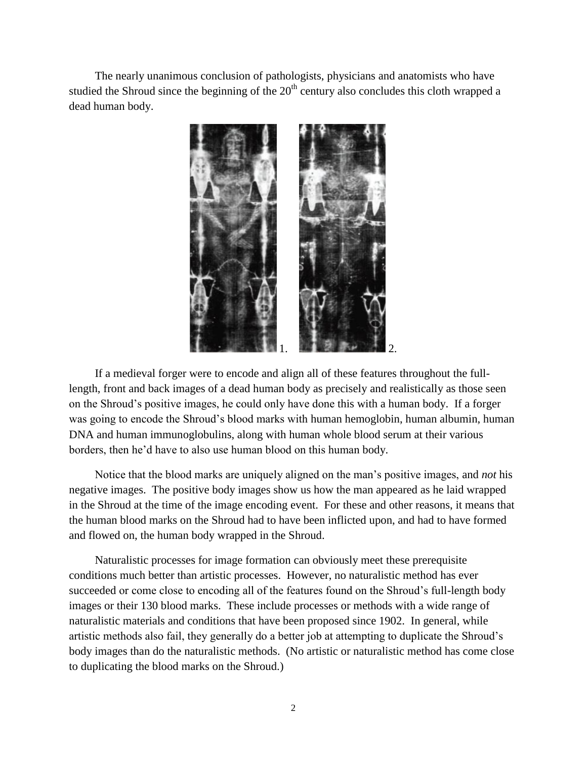The nearly unanimous conclusion of pathologists, physicians and anatomists who have studied the Shroud since the beginning of the  $20<sup>th</sup>$  century also concludes this cloth wrapped a dead human body.



If a medieval forger were to encode and align all of these features throughout the fulllength, front and back images of a dead human body as precisely and realistically as those seen on the Shroud's positive images, he could only have done this with a human body. If a forger was going to encode the Shroud's blood marks with human hemoglobin, human albumin, human DNA and human immunoglobulins, along with human whole blood serum at their various borders, then he'd have to also use human blood on this human body.

Notice that the blood marks are uniquely aligned on the man's positive images, and *not* his negative images. The positive body images show us how the man appeared as he laid wrapped in the Shroud at the time of the image encoding event. For these and other reasons, it means that the human blood marks on the Shroud had to have been inflicted upon, and had to have formed and flowed on, the human body wrapped in the Shroud.

Naturalistic processes for image formation can obviously meet these prerequisite conditions much better than artistic processes. However, no naturalistic method has ever succeeded or come close to encoding all of the features found on the Shroud's full-length body images or their 130 blood marks. These include processes or methods with a wide range of naturalistic materials and conditions that have been proposed since 1902. In general, while artistic methods also fail, they generally do a better job at attempting to duplicate the Shroud's body images than do the naturalistic methods. (No artistic or naturalistic method has come close to duplicating the blood marks on the Shroud.)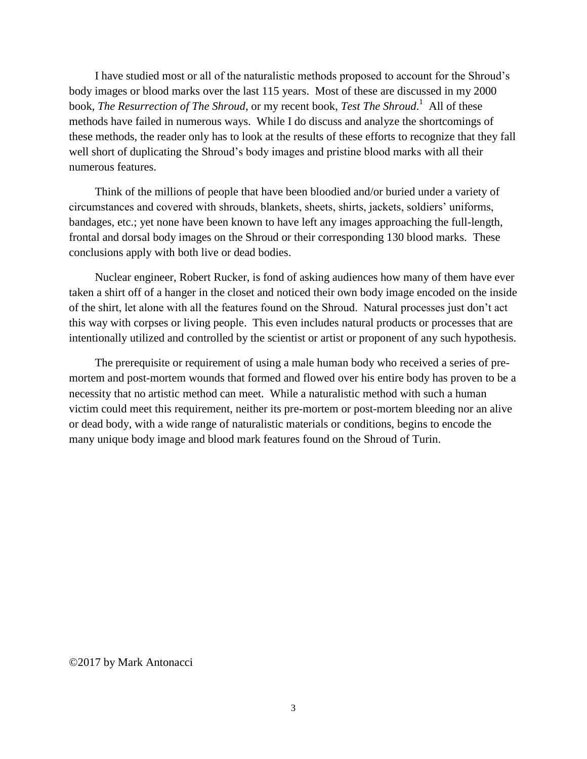I have studied most or all of the naturalistic methods proposed to account for the Shroud's body images or blood marks over the last 115 years. Most of these are discussed in my 2000 book, *The Resurrection of The Shroud*, or my recent book, *Test The Shroud*. 1 All of these methods have failed in numerous ways. While I do discuss and analyze the shortcomings of these methods, the reader only has to look at the results of these efforts to recognize that they fall well short of duplicating the Shroud's body images and pristine blood marks with all their numerous features.

Think of the millions of people that have been bloodied and/or buried under a variety of circumstances and covered with shrouds, blankets, sheets, shirts, jackets, soldiers' uniforms, bandages, etc.; yet none have been known to have left any images approaching the full-length, frontal and dorsal body images on the Shroud or their corresponding 130 blood marks. These conclusions apply with both live or dead bodies.

Nuclear engineer, Robert Rucker, is fond of asking audiences how many of them have ever taken a shirt off of a hanger in the closet and noticed their own body image encoded on the inside of the shirt, let alone with all the features found on the Shroud. Natural processes just don't act this way with corpses or living people. This even includes natural products or processes that are intentionally utilized and controlled by the scientist or artist or proponent of any such hypothesis.

The prerequisite or requirement of using a male human body who received a series of premortem and post-mortem wounds that formed and flowed over his entire body has proven to be a necessity that no artistic method can meet. While a naturalistic method with such a human victim could meet this requirement, neither its pre-mortem or post-mortem bleeding nor an alive or dead body, with a wide range of naturalistic materials or conditions, begins to encode the many unique body image and blood mark features found on the Shroud of Turin.

©2017 by Mark Antonacci